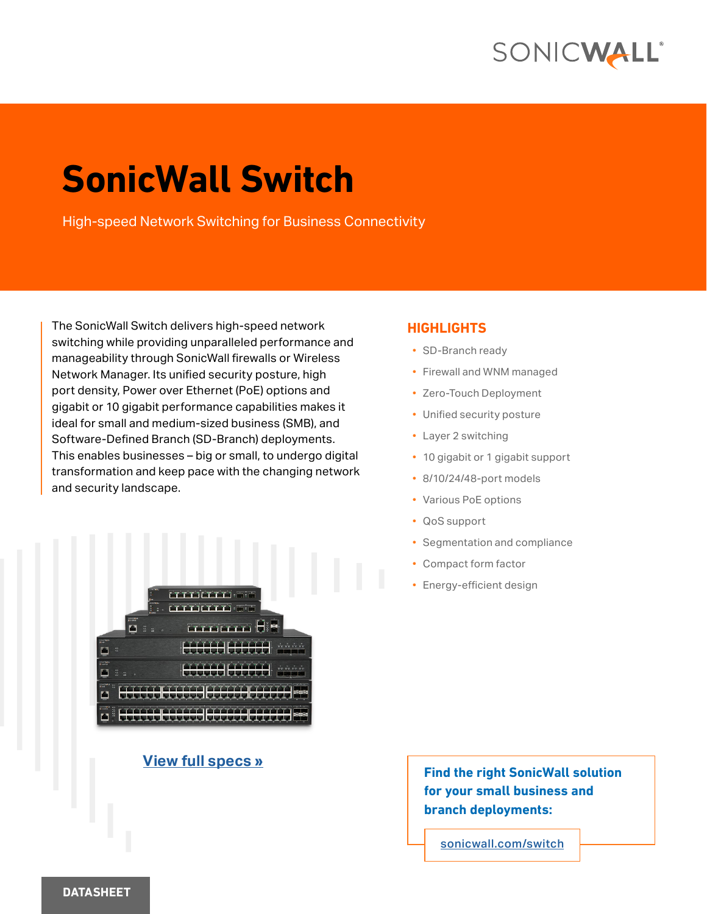# SONICWALL®

# **SonicWall Switch**

High-speed Network Switching for Business Connectivity

The SonicWall Switch delivers high-speed network switching while providing unparalleled performance and manageability through SonicWall firewalls or Wireless Network Manager. Its unified security posture, high port density, Power over Ethernet (PoE) options and gigabit or 10 gigabit performance capabilities makes it ideal for small and medium-sized business (SMB), and Software-Defined Branch (SD-Branch) deployments. This enables businesses – big or small, to undergo digital transformation and keep pace with the changing network and security landscape.



### **[View full specs »](#page-3-0)**

#### **HIGHLIGHTS**

- SD-Branch ready
- Firewall and WNM managed
- Zero-Touch Deployment
- Unified security posture
- Layer 2 switching
- 10 gigabit or 1 gigabit support
- 8/10/24/48-port models
- Various PoE options
- QoS support
- Segmentation and compliance
- Compact form factor
- Energy-efficient design

**Find the right SonicWall solution for your small business and branch deployments:**

[sonicwall.com/switch](https://www.sonicwall.com/products/network-access-switches/)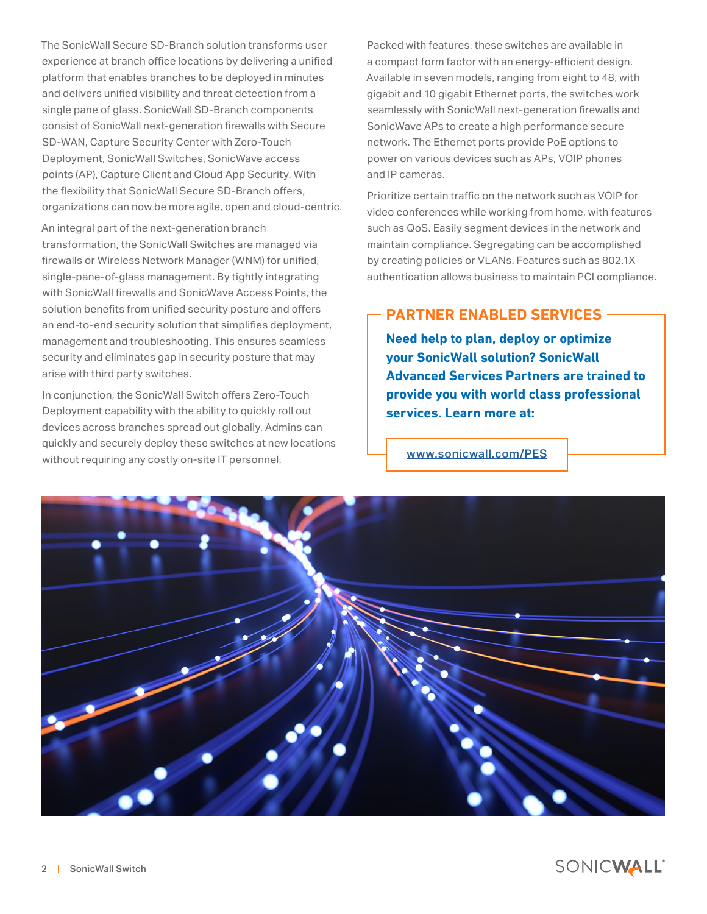The SonicWall Secure SD-Branch solution transforms user experience at branch office locations by delivering a unified platform that enables branches to be deployed in minutes and delivers unified visibility and threat detection from a single pane of glass. SonicWall SD-Branch components consist of SonicWall next-generation firewalls with Secure SD-WAN, Capture Security Center with Zero-Touch Deployment, SonicWall Switches, SonicWave access points (AP), Capture Client and Cloud App Security. With the flexibility that SonicWall Secure SD-Branch offers, organizations can now be more agile, open and cloud-centric.

An integral part of the next-generation branch transformation, the SonicWall Switches are managed via firewalls or Wireless Network Manager (WNM) for unified, single-pane-of-glass management. By tightly integrating with SonicWall firewalls and SonicWave Access Points, the solution benefits from unified security posture and offers an end-to-end security solution that simplifies deployment, management and troubleshooting. This ensures seamless security and eliminates gap in security posture that may arise with third party switches.

In conjunction, the SonicWall Switch offers Zero-Touch Deployment capability with the ability to quickly roll out devices across branches spread out globally. Admins can quickly and securely deploy these switches at new locations without requiring any costly on-site IT personnel.

Packed with features, these switches are available in a compact form factor with an energy-efficient design. Available in seven models, ranging from eight to 48, with gigabit and 10 gigabit Ethernet ports, the switches work seamlessly with SonicWall next-generation firewalls and SonicWave APs to create a high performance secure network. The Ethernet ports provide PoE options to power on various devices such as APs, VOIP phones and IP cameras.

Prioritize certain traffic on the network such as VOIP for video conferences while working from home, with features such as QoS. Easily segment devices in the network and maintain compliance. Segregating can be accomplished by creating policies or VLANs. Features such as 802.1X authentication allows business to maintain PCI compliance.

## **PARTNER ENABLED SERVICES**

**Need help to plan, deploy or optimize your SonicWall solution? SonicWall Advanced Services Partners are trained to provide you with world class professional services. Learn more at:**

[www.sonicwall.com/PES](http://www.sonicwall.com/PES)

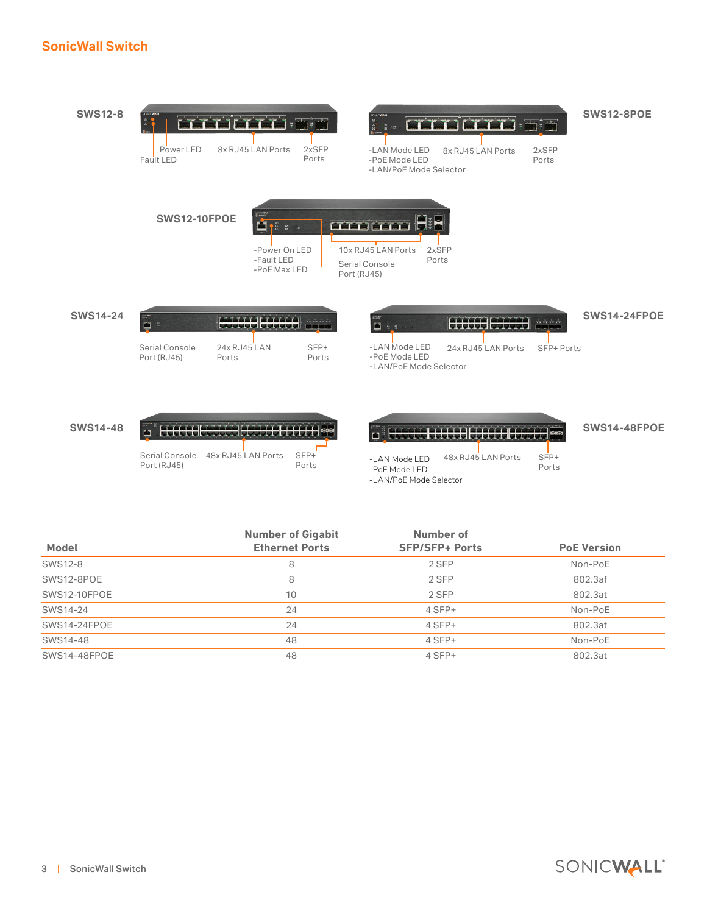#### **SonicWall Switch**



|                | <b>Number of Gigabit</b> | Number of             |                    |  |
|----------------|--------------------------|-----------------------|--------------------|--|
| <b>Model</b>   | <b>Ethernet Ports</b>    | <b>SFP/SFP+ Ports</b> | <b>PoE Version</b> |  |
| <b>SWS12-8</b> | 8                        | 2 SFP                 | Non-PoE            |  |
| SWS12-8POE     | 8                        | 2 SFP                 | 802.3af            |  |
| SWS12-10FPOE   | 10                       | 2 SFP                 | 802.3at            |  |
| SWS14-24       | 24                       | 4 SFP+                | Non-PoE            |  |
| SWS14-24FPOE   | 24                       | 4 SFP+                | 802.3at            |  |
| SWS14-48       | 48                       | $4$ SFP+              | Non-PoE            |  |
| SWS14-48FPOE   | 48                       | 4 SFP+                | 802.3at            |  |
|                |                          |                       |                    |  |

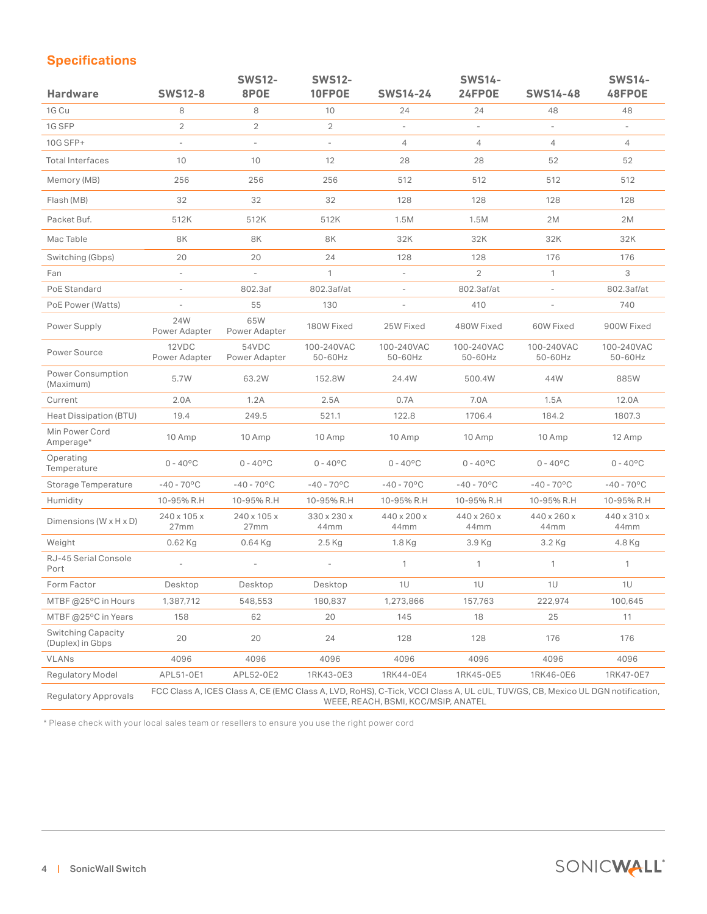## <span id="page-3-0"></span>**Specifications**

| <b>Hardware</b>                               | <b>SWS12-8</b>                                                                                                                                                       | <b>SWS12-</b><br>8POE  | <b>SWS12-</b><br>10FPOE   | <b>SWS14-24</b>          | <b>SWS14-</b><br>24FPOE   | <b>SWS14-48</b>           | <b>SWS14-</b><br>48FPOE |
|-----------------------------------------------|----------------------------------------------------------------------------------------------------------------------------------------------------------------------|------------------------|---------------------------|--------------------------|---------------------------|---------------------------|-------------------------|
| 1G Cu                                         | 8                                                                                                                                                                    | 8                      | 10                        | 24                       | 24                        | 48                        | 48                      |
| 1G SFP                                        | $\overline{2}$                                                                                                                                                       | $\overline{2}$         | $\overline{2}$            |                          |                           | $\overline{\phantom{a}}$  |                         |
| 10G SFP+                                      | $\overline{\phantom{a}}$                                                                                                                                             | $\overline{a}$         | $\overline{\phantom{a}}$  | $\overline{4}$           | $\overline{4}$            | $\overline{4}$            | $\overline{4}$          |
| <b>Total Interfaces</b>                       | 10                                                                                                                                                                   | 10                     | 12                        | 28                       | 28                        | 52                        | 52                      |
| Memory (MB)                                   | 256                                                                                                                                                                  | 256                    | 256                       | 512                      | 512                       | 512                       | 512                     |
| Flash (MB)                                    | 32                                                                                                                                                                   | 32                     | 32                        | 128                      | 128                       | 128                       | 128                     |
| Packet Buf.                                   | 512K                                                                                                                                                                 | 512K                   | 512K                      | 1.5M                     | 1.5M                      | 2M                        | 2M                      |
| Mac Table                                     | 8K                                                                                                                                                                   | 8K                     | 8K                        | 32K                      | 32K                       | 32K                       | 32K                     |
| Switching (Gbps)                              | 20                                                                                                                                                                   | 20                     | 24                        | 128                      | 128                       | 176                       | 176                     |
| Fan                                           |                                                                                                                                                                      |                        | $\mathbf{1}$              | $\overline{a}$           | $\overline{2}$            | $\mathbf{1}$              | 3                       |
| PoE Standard                                  | $\overline{\phantom{a}}$                                                                                                                                             | 802.3af                | 802.3af/at                | $\overline{\phantom{a}}$ | 802.3af/at                | $\overline{\phantom{m}}$  | 802.3af/at              |
| PoE Power (Watts)                             | $\overline{\phantom{a}}$                                                                                                                                             | 55                     | 130                       |                          | 410                       |                           | 740                     |
| Power Supply                                  | 24W<br>Power Adapter                                                                                                                                                 | 65W<br>Power Adapter   | 180W Fixed                | 25W Fixed                | 480W Fixed                | 60W Fixed                 | 900W Fixed              |
| Power Source                                  | 12VDC<br>Power Adapter                                                                                                                                               | 54VDC<br>Power Adapter | 100-240VAC<br>50-60Hz     | 100-240VAC<br>50-60Hz    | 100-240VAC<br>50-60Hz     | 100-240VAC<br>50-60Hz     | 100-240VAC<br>50-60Hz   |
| <b>Power Consumption</b><br>(Maximum)         | 5.7W                                                                                                                                                                 | 63.2W                  | 152.8W                    | 24.4W                    | 500.4W                    | 44W                       | 885W                    |
| Current                                       | 2.0A                                                                                                                                                                 | 1.2A                   | 2.5A                      | 0.7A                     | 7.0A                      | 1.5A                      | 12.0A                   |
| Heat Dissipation (BTU)                        | 19.4                                                                                                                                                                 | 249.5                  | 521.1                     | 122.8                    | 1706.4                    | 184.2                     | 1807.3                  |
| Min Power Cord<br>Amperage*                   | 10 Amp                                                                                                                                                               | 10 Amp                 | 10 Amp                    | 10 Amp                   | 10 Amp                    | 10 Amp                    | 12 Amp                  |
| Operating<br>Temperature                      | $0 - 40^{\circ}$ C                                                                                                                                                   | $0 - 40^{\circ}$ C     | $0 - 40^{\circ}$ C        | $0 - 40^{\circ}C$        | $0 - 40^{\circ}C$         | $0 - 40^{\circ}C$         | $0 - 40^{\circ}$ C      |
| Storage Temperature                           | $-40 - 70$ °C                                                                                                                                                        | $-40 - 70$ °C          | $-40 - 70$ <sup>o</sup> C | $-40 - 70$ °C            | $-40 - 70$ <sup>o</sup> C | $-40 - 70$ <sup>o</sup> C | $-40 - 70$ °C           |
| Humidity                                      | 10-95% R.H                                                                                                                                                           | 10-95% R.H             | 10-95% R.H                | 10-95% R.H               | 10-95% R.H                | 10-95% R.H                | 10-95% R.H              |
| Dimensions ( $W \times H \times D$ )          | 240 x 105 x<br>27mm                                                                                                                                                  | 240 x 105 x<br>27mm    | 330 x 230 x<br>44mm       | 440 x 200 x<br>44mm      | 440 x 260 x<br>44mm       | 440 x 260 x<br>44mm       | 440 x 310 x<br>44mm     |
| Weight                                        | $0.62$ Kg                                                                                                                                                            | $0.64$ Kg              | $2.5$ Kg                  | 1.8 Kg                   | 3.9 Kg                    | 3.2 Kg                    | 4.8 Kg                  |
| RJ-45 Serial Console<br>Port                  |                                                                                                                                                                      |                        | $\overline{a}$            | $\mathbf{1}$             | $\mathbf{1}$              | $\mathbf{1}$              | $\mathbf{1}$            |
| Form Factor                                   | Desktop                                                                                                                                                              | Desktop                | Desktop                   | 1U                       | 1U                        | 1U                        | 1U                      |
| MTBF @25°C in Hours                           | 1,387,712                                                                                                                                                            | 548,553                | 180,837                   | 1,273,866                | 157,763                   | 222,974                   | 100,645                 |
| MTBF @25°C in Years                           | 158                                                                                                                                                                  | 62                     | 20                        | 145                      | 18                        | 25                        | 11                      |
| <b>Switching Capacity</b><br>(Duplex) in Gbps | 20                                                                                                                                                                   | 20                     | 24                        | 128                      | 128                       | 176                       | 176                     |
| <b>VLANs</b>                                  | 4096                                                                                                                                                                 | 4096                   | 4096                      | 4096                     | 4096                      | 4096                      | 4096                    |
| Regulatory Model                              | APL51-0E1                                                                                                                                                            | APL52-0E2              | 1RK43-0E3                 | 1RK44-0E4                | 1RK45-0E5                 | 1RK46-0E6                 | 1RK47-0E7               |
| Regulatory Approvals                          | FCC Class A, ICES Class A, CE (EMC Class A, LVD, RoHS), C-Tick, VCCI Class A, UL cUL, TUV/GS, CB, Mexico UL DGN notification,<br>WEEE, REACH, BSMI, KCC/MSIP, ANATEL |                        |                           |                          |                           |                           |                         |

\* Please check with your local sales team or resellers to ensure you use the right power cord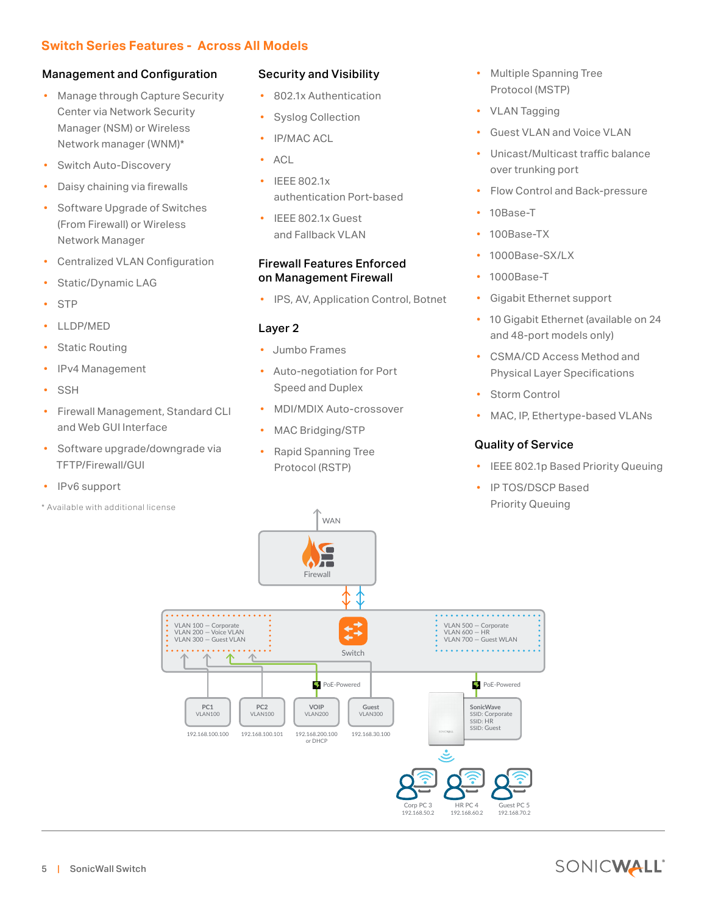### **Switch Series Features - Across All Models**

#### Management and Configuration

- Manage through Capture Security Center via Network Security Manager (NSM) or Wireless Network manager (WNM)\*
- Switch Auto-Discovery
- Daisy chaining via firewalls
- Software Upgrade of Switches (From Firewall) or Wireless Network Manager
- Centralized VLAN Configuration
- Static/Dynamic LAG
- **STP**
- LLDP/MED
- **Static Routing**
- IPv4 Management
- **SSH**
- Firewall Management, Standard CLI and Web GUI Interface
- Software upgrade/downgrade via TFTP/Firewall/GUI
- IPv6 support
- \* Available with additional license

#### Security and Visibility

- 802.1x Authentication
- Syslog Collection
- IP/MAC ACL
- ACL
- IEEE 802.1x authentication Port-based
- IEEE 802.1x Guest and Fallback VLAN

#### Firewall Features Enforced on Management Firewall

• IPS, AV, Application Control, Botnet

#### Layer 2

- Jumbo Frames
- Auto-negotiation for Port Speed and Duplex
- MDI/MDIX Auto-crossover
- MAC Bridging/STP
- Rapid Spanning Tree Protocol (RSTP)
- Multiple Spanning Tree Protocol (MSTP)
- VLAN Tagging
- Guest VLAN and Voice VLAN
- Unicast/Multicast traffic balance over trunking port
- Flow Control and Back-pressure
- 10Base-T
- 100Base-TX
- 1000Base-SX/LX
- 1000Base-T
- Gigabit Ethernet support
- 10 Gigabit Ethernet (available on 24 and 48-port models only)
- CSMA/CD Access Method and Physical Layer Specifications
- **Storm Control**
- MAC, IP, Ethertype-based VLANs

#### Quality of Service

- IEEE 802.1p Based Priority Queuing
- IP TOS/DSCP Based Priority Queuing